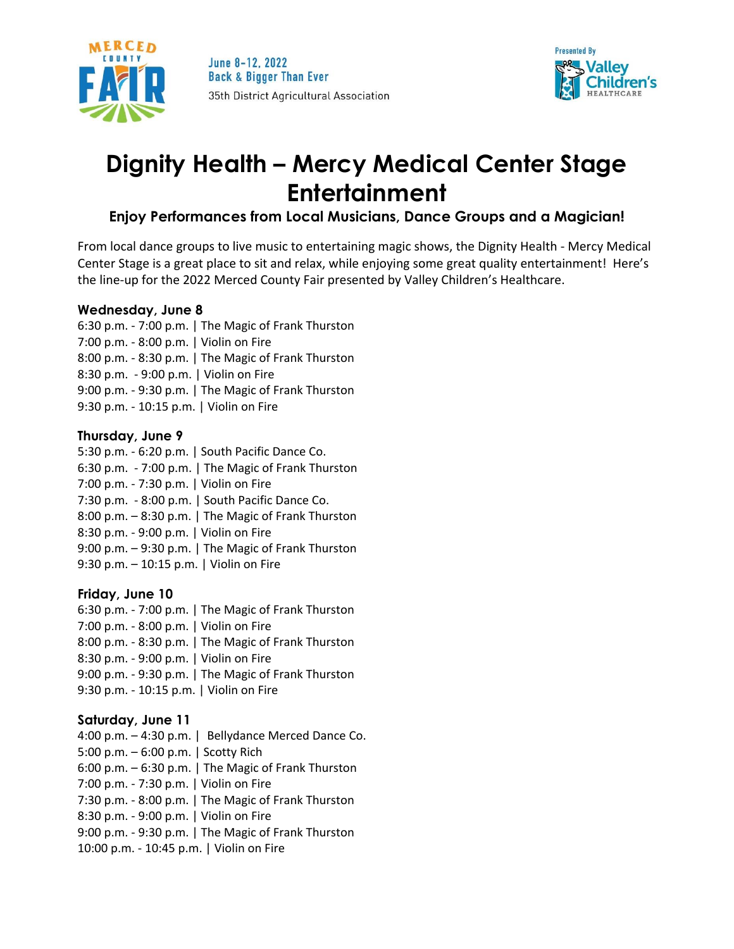



# **Dignity Health – Mercy Medical Center Stage Entertainment**

# **Enjoy Performances from Local Musicians, Dance Groups and a Magician!**

From local dance groups to live music to entertaining magic shows, the Dignity Health - Mercy Medical Center Stage is a great place to sit and relax, while enjoying some great quality entertainment! Here's the line-up for the 2022 Merced County Fair presented by Valley Children's Healthcare.

# **Wednesday, June 8**

6:30 p.m. - 7:00 p.m. | The Magic of Frank Thurston 7:00 p.m. - 8:00 p.m. | Violin on Fire 8:00 p.m. - 8:30 p.m. | The Magic of Frank Thurston 8:30 p.m. - 9:00 p.m. | Violin on Fire 9:00 p.m. - 9:30 p.m. | The Magic of Frank Thurston 9:30 p.m. - 10:15 p.m. | Violin on Fire

# **Thursday, June 9**

5:30 p.m. - 6:20 p.m. | South Pacific Dance Co. 6:30 p.m. - 7:00 p.m. | The Magic of Frank Thurston 7:00 p.m. - 7:30 p.m. | Violin on Fire 7:30 p.m. - 8:00 p.m. | South Pacific Dance Co. 8:00 p.m. – 8:30 p.m. | The Magic of Frank Thurston 8:30 p.m. - 9:00 p.m. | Violin on Fire 9:00 p.m. – 9:30 p.m. | The Magic of Frank Thurston 9:30 p.m. – 10:15 p.m. | Violin on Fire

# **Friday, June 10**

6:30 p.m. - 7:00 p.m. | The Magic of Frank Thurston 7:00 p.m. - 8:00 p.m. | Violin on Fire 8:00 p.m. - 8:30 p.m. | The Magic of Frank Thurston 8:30 p.m. - 9:00 p.m. | Violin on Fire 9:00 p.m. - 9:30 p.m. | The Magic of Frank Thurston 9:30 p.m. - 10:15 p.m. | Violin on Fire

# **Saturday, June 11**

4:00 p.m. – 4:30 p.m. | Bellydance Merced Dance Co. 5:00 p.m. – 6:00 p.m. | Scotty Rich 6:00 p.m. – 6:30 p.m. | The Magic of Frank Thurston 7:00 p.m. - 7:30 p.m. | Violin on Fire 7:30 p.m. - 8:00 p.m. | The Magic of Frank Thurston 8:30 p.m. - 9:00 p.m. | Violin on Fire 9:00 p.m. - 9:30 p.m. | The Magic of Frank Thurston 10:00 p.m. - 10:45 p.m. | Violin on Fire